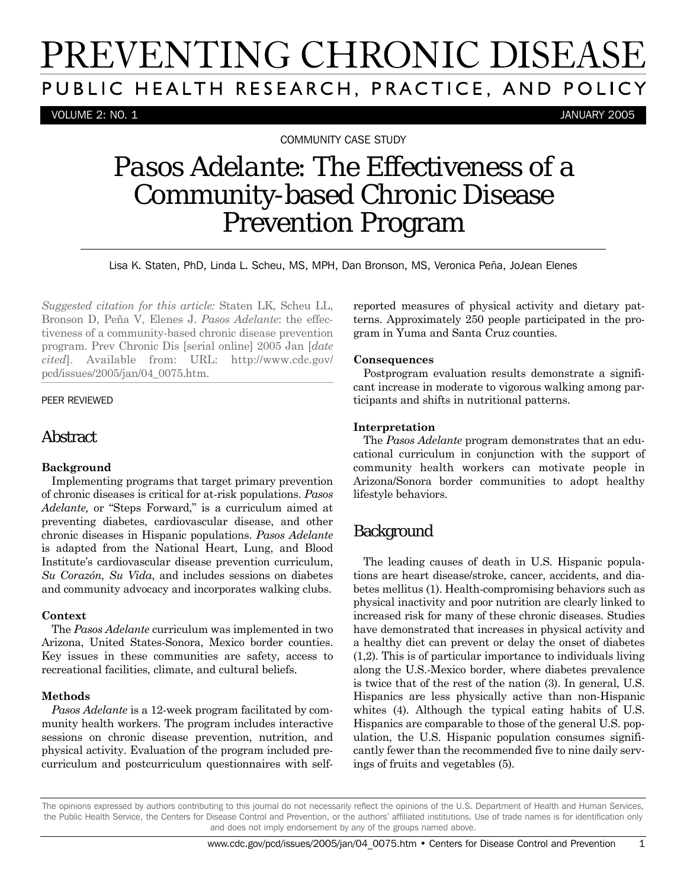# PREVENTING CHRONIC DISEASE PUBLIC HEALTH RESEARCH, PRACTICE, AND POLICY

VOLUME 2: NO. 1 JANUARY 2005

COMMUNITY CASE STUDY

## *Pasos Adelante*: The Effectiveness of a Community-based Chronic Disease Prevention Program

Lisa K. Staten, PhD, Linda L. Scheu, MS, MPH, Dan Bronson, MS, Veronica Peña, JoJean Elenes

*Suggested citation for this article:* Staten LK, Scheu LL, Bronson D, Peña V, Elenes J. *Pasos Adelante*: the effectiveness of a community-based chronic disease prevention program. Prev Chronic Dis [serial online] 2005 Jan [*date cited*]. Available from: URL: http://www.cdc.gov/ pcd/issues/2005/jan/04\_0075.htm.

#### PEER REVIEWED

## Abstract

#### **Background**

Implementing programs that target primary prevention of chronic diseases is critical for at-risk populations. *Pasos Adelante,* or "Steps Forward," is a curriculum aimed at preventing diabetes, cardiovascular disease, and other chronic diseases in Hispanic populations. *Pasos Adelante* is adapted from the National Heart, Lung, and Blood Institute's cardiovascular disease prevention curriculum, *Su Corazón, Su Vida*, and includes sessions on diabetes and community advocacy and incorporates walking clubs.

#### **Context**

The *Pasos Adelante* curriculum was implemented in two Arizona, United States-Sonora, Mexico border counties. Key issues in these communities are safety, access to recreational facilities, climate, and cultural beliefs.

#### **Methods**

*Pasos Adelante* is a 12-week program facilitated by community health workers. The program includes interactive sessions on chronic disease prevention, nutrition, and physical activity. Evaluation of the program included precurriculum and postcurriculum questionnaires with selfreported measures of physical activity and dietary patterns. Approximately 250 people participated in the program in Yuma and Santa Cruz counties.

#### **Consequences**

Postprogram evaluation results demonstrate a significant increase in moderate to vigorous walking among participants and shifts in nutritional patterns.

#### **Interpretation**

The *Pasos Adelante* program demonstrates that an educational curriculum in conjunction with the support of community health workers can motivate people in Arizona/Sonora border communities to adopt healthy lifestyle behaviors.

## **Background**

The leading causes of death in U.S. Hispanic populations are heart disease/stroke, cancer, accidents, and diabetes mellitus (1). Health-compromising behaviors such as physical inactivity and poor nutrition are clearly linked to increased risk for many of these chronic diseases. Studies have demonstrated that increases in physical activity and a healthy diet can prevent or delay the onset of diabetes (1,2). This is of particular importance to individuals living along the U.S.-Mexico border, where diabetes prevalence is twice that of the rest of the nation (3). In general, U.S. Hispanics are less physically active than non-Hispanic whites (4). Although the typical eating habits of U.S. Hispanics are comparable to those of the general U.S. population, the U.S. Hispanic population consumes significantly fewer than the recommended five to nine daily servings of fruits and vegetables (5).

The opinions expressed by authors contributing to this journal do not necessarily reflect the opinions of the U.S. Department of Health and Human Services, the Public Health Service, the Centers for Disease Control and Prevention, or the authors' affiliated institutions. Use of trade names is for identification only and does not imply endorsement by any of the groups named above.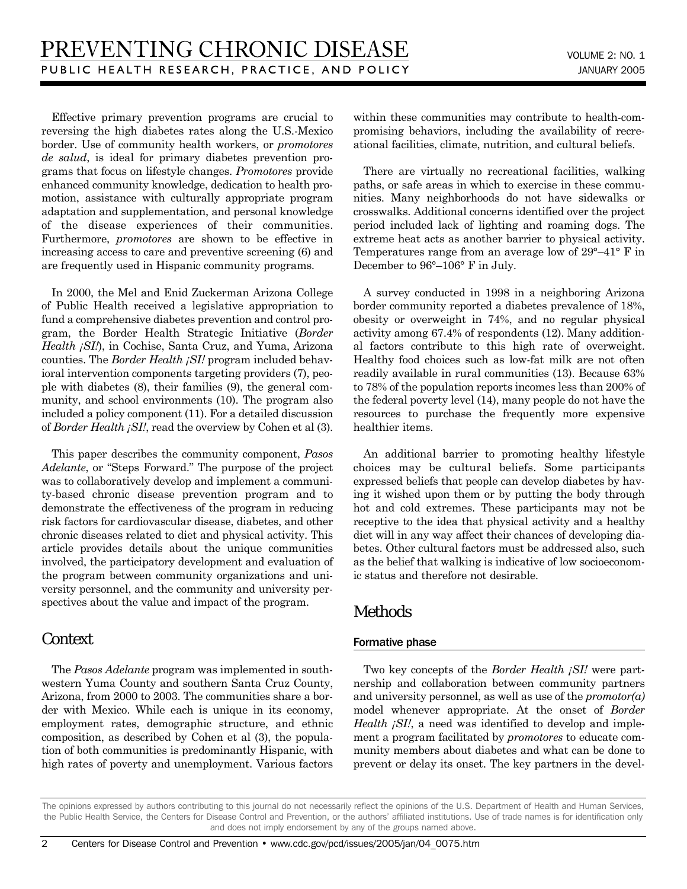Effective primary prevention programs are crucial to reversing the high diabetes rates along the U.S.-Mexico border. Use of community health workers, or *promotores de salud*, is ideal for primary diabetes prevention programs that focus on lifestyle changes. *Promotores* provide enhanced community knowledge, dedication to health promotion, assistance with culturally appropriate program adaptation and supplementation, and personal knowledge of the disease experiences of their communities. Furthermore, *promotores* are shown to be effective in increasing access to care and preventive screening (6) and are frequently used in Hispanic community programs.

In 2000, the Mel and Enid Zuckerman Arizona College of Public Health received a legislative appropriation to fund a comprehensive diabetes prevention and control program, the Border Health Strategic Initiative (*Border Health ¡SI!*), in Cochise, Santa Cruz, and Yuma, Arizona counties. The *Border Health ¡SI!* program included behavioral intervention components targeting providers (7), people with diabetes (8), their families (9), the general community, and school environments (10). The program also included a policy component (11). For a detailed discussion of *Border Health ¡SI!*, read the overview by Cohen et al (3).

This paper describes the community component, *Pasos Adelante*, or "Steps Forward." The purpose of the project was to collaboratively develop and implement a community-based chronic disease prevention program and to demonstrate the effectiveness of the program in reducing risk factors for cardiovascular disease, diabetes, and other chronic diseases related to diet and physical activity. This article provides details about the unique communities involved, the participatory development and evaluation of the program between community organizations and university personnel, and the community and university perspectives about the value and impact of the program.

## **Context**

The *Pasos Adelante* program was implemented in southwestern Yuma County and southern Santa Cruz County, Arizona, from 2000 to 2003. The communities share a border with Mexico. While each is unique in its economy, employment rates, demographic structure, and ethnic composition, as described by Cohen et al (3), the population of both communities is predominantly Hispanic, with high rates of poverty and unemployment. Various factors within these communities may contribute to health-compromising behaviors, including the availability of recreational facilities, climate, nutrition, and cultural beliefs.

There are virtually no recreational facilities, walking paths, or safe areas in which to exercise in these communities. Many neighborhoods do not have sidewalks or crosswalks. Additional concerns identified over the project period included lack of lighting and roaming dogs. The extreme heat acts as another barrier to physical activity. Temperatures range from an average low of 29°–41° F in December to 96°–106° F in July.

A survey conducted in 1998 in a neighboring Arizona border community reported a diabetes prevalence of 18%, obesity or overweight in 74%, and no regular physical activity among 67.4% of respondents (12). Many additional factors contribute to this high rate of overweight. Healthy food choices such as low-fat milk are not often readily available in rural communities (13). Because 63% to 78% of the population reports incomes less than 200% of the federal poverty level (14), many people do not have the resources to purchase the frequently more expensive healthier items.

An additional barrier to promoting healthy lifestyle choices may be cultural beliefs. Some participants expressed beliefs that people can develop diabetes by having it wished upon them or by putting the body through hot and cold extremes. These participants may not be receptive to the idea that physical activity and a healthy diet will in any way affect their chances of developing diabetes. Other cultural factors must be addressed also, such as the belief that walking is indicative of low socioeconomic status and therefore not desirable.

## Methods

#### Formative phase

Two key concepts of the *Border Health ¡SI!* were partnership and collaboration between community partners and university personnel, as well as use of the *promotor(a)* model whenever appropriate. At the onset of *Border Health <sub>i</sub>SI!*, a need was identified to develop and implement a program facilitated by *promotores* to educate community members about diabetes and what can be done to prevent or delay its onset. The key partners in the devel-

The opinions expressed by authors contributing to this journal do not necessarily reflect the opinions of the U.S. Department of Health and Human Services, the Public Health Service, the Centers for Disease Control and Prevention, or the authors' affiliated institutions. Use of trade names is for identification only and does not imply endorsement by any of the groups named above.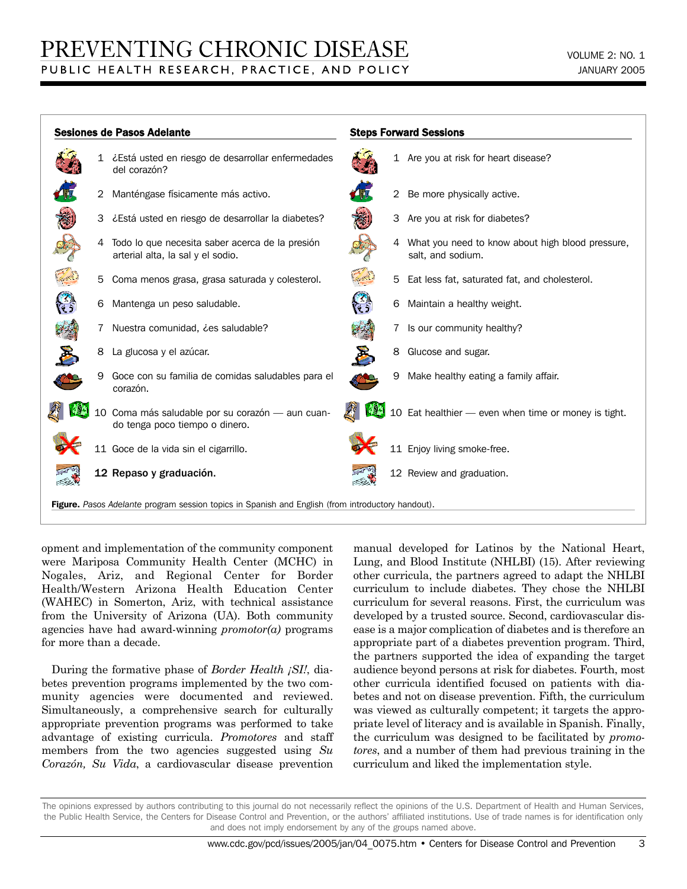|                                                                                                          |                | <b>Sesiones de Pasos Adelante</b>                                                    |  |                | <b>Steps Forward Sessions</b>                                         |
|----------------------------------------------------------------------------------------------------------|----------------|--------------------------------------------------------------------------------------|--|----------------|-----------------------------------------------------------------------|
|                                                                                                          |                | 1 ¿Está usted en riesgo de desarrollar enfermedades<br>del corazón?                  |  |                | 1 Are you at risk for heart disease?                                  |
|                                                                                                          | $\overline{2}$ | Manténgase físicamente más activo.                                                   |  | $\overline{2}$ | Be more physically active.                                            |
|                                                                                                          | 3              | ¿Está usted en riesgo de desarrollar la diabetes?                                    |  | 3              | Are you at risk for diabetes?                                         |
|                                                                                                          | 4              | Todo lo que necesita saber acerca de la presión<br>arterial alta, la sal y el sodio. |  |                | What you need to know about high blood pressure,<br>salt, and sodium. |
|                                                                                                          | 5              | Coma menos grasa, grasa saturada y colesterol.                                       |  | 5              | Eat less fat, saturated fat, and cholesterol.                         |
|                                                                                                          | 6              | Mantenga un peso saludable.                                                          |  | 6              | Maintain a healthy weight.                                            |
|                                                                                                          |                | Nuestra comunidad, ces saludable?                                                    |  | 7              | Is our community healthy?                                             |
| 罗                                                                                                        | 8              | La glucosa y el azúcar.                                                              |  | 8              | Glucose and sugar.                                                    |
|                                                                                                          | 9              | Goce con su familia de comidas saludables para el<br>corazón.                        |  | 9              | Make healthy eating a family affair.                                  |
|                                                                                                          |                | 10 Coma más saludable por su corazón - aun cuan-<br>do tenga poco tiempo o dinero.   |  |                | 10 Eat healthier - even when time or money is tight.                  |
|                                                                                                          |                | 11 Goce de la vida sin el cigarrillo.                                                |  |                | 11 Enjoy living smoke-free.                                           |
|                                                                                                          |                | 12 Repaso y graduación.                                                              |  |                | 12 Review and graduation.                                             |
| <b>Figure.</b> Pasos Adelante program session topics in Spanish and English (from introductory handout). |                |                                                                                      |  |                |                                                                       |

opment and implementation of the community component were Mariposa Community Health Center (MCHC) in Nogales, Ariz, and Regional Center for Border Health/Western Arizona Health Education Center (WAHEC) in Somerton, Ariz, with technical assistance from the University of Arizona (UA). Both community agencies have had award-winning *promotor(a)* programs for more than a decade.

During the formative phase of *Border Health ¡SI!*, diabetes prevention programs implemented by the two community agencies were documented and reviewed. Simultaneously, a comprehensive search for culturally appropriate prevention programs was performed to take advantage of existing curricula. *Promotores* and staff members from the two agencies suggested using *Su Corazón, Su Vida*, a cardiovascular disease prevention manual developed for Latinos by the National Heart, Lung, and Blood Institute (NHLBI) (15). After reviewing other curricula, the partners agreed to adapt the NHLBI curriculum to include diabetes. They chose the NHLBI curriculum for several reasons. First, the curriculum was developed by a trusted source. Second, cardiovascular disease is a major complication of diabetes and is therefore an appropriate part of a diabetes prevention program. Third, the partners supported the idea of expanding the target audience beyond persons at risk for diabetes. Fourth, most other curricula identified focused on patients with diabetes and not on disease prevention. Fifth, the curriculum was viewed as culturally competent; it targets the appropriate level of literacy and is available in Spanish. Finally, the curriculum was designed to be facilitated by *promotores*, and a number of them had previous training in the curriculum and liked the implementation style.

The opinions expressed by authors contributing to this journal do not necessarily reflect the opinions of the U.S. Department of Health and Human Services, the Public Health Service, the Centers for Disease Control and Prevention, or the authors' affiliated institutions. Use of trade names is for identification only and does not imply endorsement by any of the groups named above.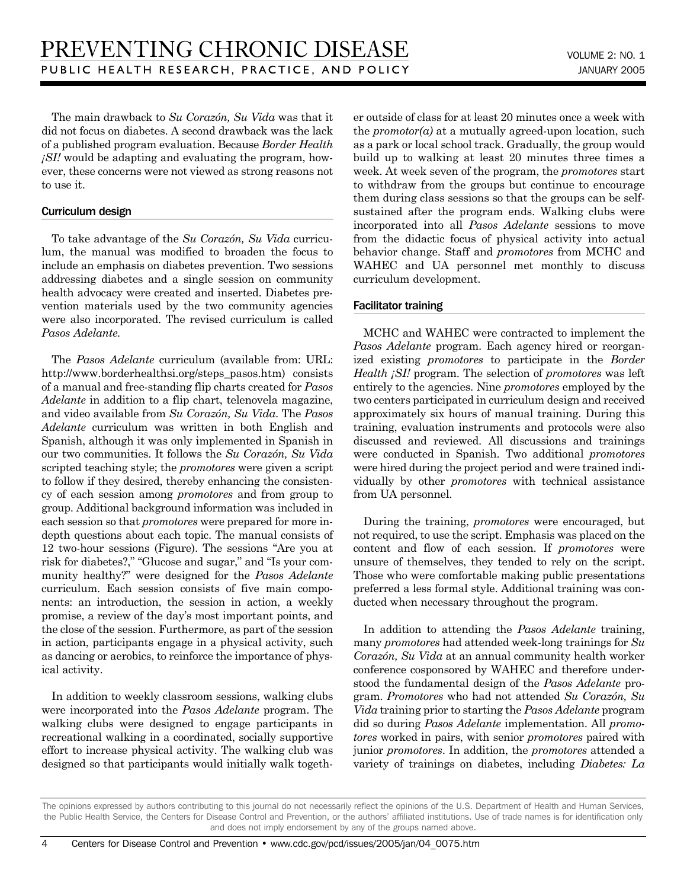The main drawback to *Su Corazón, Su Vida* was that it did not focus on diabetes. A second drawback was the lack of a published program evaluation. Because *Border Health ¡SI!* would be adapting and evaluating the program, however, these concerns were not viewed as strong reasons not to use it.

#### Curriculum design

To take advantage of the *Su Corazón, Su Vida* curriculum, the manual was modified to broaden the focus to include an emphasis on diabetes prevention. Two sessions addressing diabetes and a single session on community health advocacy were created and inserted. Diabetes prevention materials used by the two community agencies were also incorporated. The revised curriculum is called *Pasos Adelante.*

The *Pasos Adelante* curriculum (available from: URL: http://www.borderhealthsi.org/steps\_pasos.htm) consists of a manual and free-standing flip charts created for *Pasos Adelante* in addition to a flip chart, telenovela magazine, and video available from *Su Corazón, Su Vida*. The *Pasos Adelante* curriculum was written in both English and Spanish, although it was only implemented in Spanish in our two communities. It follows the *Su Corazón, Su Vida* scripted teaching style; the *promotores* were given a script to follow if they desired, thereby enhancing the consistency of each session among *promotores* and from group to group. Additional background information was included in each session so that *promotores* were prepared for more indepth questions about each topic. The manual consists of 12 two-hour sessions (Figure). The sessions "Are you at risk for diabetes?," "Glucose and sugar," and "Is your community healthy?" were designed for the *Pasos Adelante* curriculum. Each session consists of five main components: an introduction, the session in action, a weekly promise, a review of the day's most important points, and the close of the session. Furthermore, as part of the session in action, participants engage in a physical activity, such as dancing or aerobics, to reinforce the importance of physical activity.

In addition to weekly classroom sessions, walking clubs were incorporated into the *Pasos Adelante* program. The walking clubs were designed to engage participants in recreational walking in a coordinated, socially supportive effort to increase physical activity. The walking club was designed so that participants would initially walk together outside of class for at least 20 minutes once a week with the *promotor(a)* at a mutually agreed-upon location, such as a park or local school track. Gradually, the group would build up to walking at least 20 minutes three times a week. At week seven of the program, the *promotores* start to withdraw from the groups but continue to encourage them during class sessions so that the groups can be selfsustained after the program ends. Walking clubs were incorporated into all *Pasos Adelante* sessions to move from the didactic focus of physical activity into actual behavior change. Staff and *promotores* from MCHC and WAHEC and UA personnel met monthly to discuss curriculum development.

#### Facilitator training

MCHC and WAHEC were contracted to implement the *Pasos Adelante* program. Each agency hired or reorganized existing *promotores* to participate in the *Border Health ¡SI!* program. The selection of *promotores* was left entirely to the agencies. Nine *promotores* employed by the two centers participated in curriculum design and received approximately six hours of manual training. During this training, evaluation instruments and protocols were also discussed and reviewed. All discussions and trainings were conducted in Spanish. Two additional *promotores* were hired during the project period and were trained individually by other *promotores* with technical assistance from UA personnel.

During the training, *promotores* were encouraged, but not required, to use the script. Emphasis was placed on the content and flow of each session. If *promotores* were unsure of themselves, they tended to rely on the script. Those who were comfortable making public presentations preferred a less formal style. Additional training was conducted when necessary throughout the program.

In addition to attending the *Pasos Adelante* training, many *promotores* had attended week-long trainings for *Su Corazón, Su Vida* at an annual community health worker conference cosponsored by WAHEC and therefore understood the fundamental design of the *Pasos Adelante* program. *Promotores* who had not attended *Su Corazón, Su Vida* training prior to starting the *Pasos Adelante* program did so during *Pasos Adelante* implementation. All *promotores* worked in pairs, with senior *promotores* paired with junior *promotores*. In addition, the *promotores* attended a variety of trainings on diabetes, including *Diabetes: La*

The opinions expressed by authors contributing to this journal do not necessarily reflect the opinions of the U.S. Department of Health and Human Services, the Public Health Service, the Centers for Disease Control and Prevention, or the authors' affiliated institutions. Use of trade names is for identification only and does not imply endorsement by any of the groups named above.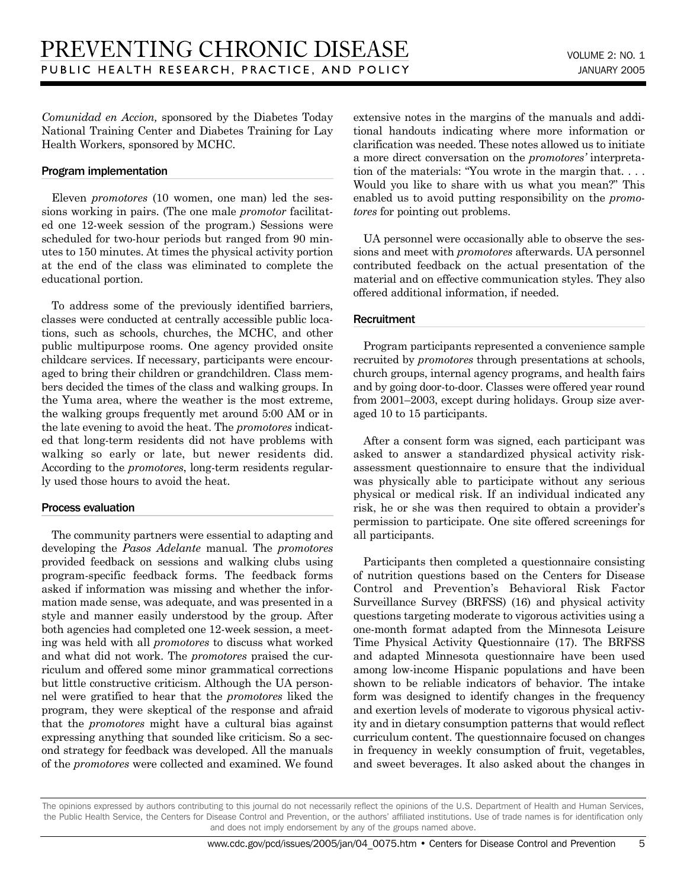*Comunidad en Accion,* sponsored by the Diabetes Today National Training Center and Diabetes Training for Lay Health Workers, sponsored by MCHC.

#### Program implementation

Eleven *promotores* (10 women, one man) led the sessions working in pairs. (The one male *promotor* facilitated one 12-week session of the program.) Sessions were scheduled for two-hour periods but ranged from 90 minutes to 150 minutes. At times the physical activity portion at the end of the class was eliminated to complete the educational portion.

To address some of the previously identified barriers, classes were conducted at centrally accessible public locations, such as schools, churches, the MCHC, and other public multipurpose rooms. One agency provided onsite childcare services. If necessary, participants were encouraged to bring their children or grandchildren. Class members decided the times of the class and walking groups. In the Yuma area, where the weather is the most extreme, the walking groups frequently met around 5:00 AM or in the late evening to avoid the heat. The *promotores* indicated that long-term residents did not have problems with walking so early or late, but newer residents did. According to the *promotores*, long-term residents regularly used those hours to avoid the heat.

#### Process evaluation

The community partners were essential to adapting and developing the *Pasos Adelante* manual. The *promotores* provided feedback on sessions and walking clubs using program-specific feedback forms. The feedback forms asked if information was missing and whether the information made sense, was adequate, and was presented in a style and manner easily understood by the group. After both agencies had completed one 12-week session, a meeting was held with all *promotores* to discuss what worked and what did not work. The *promotores* praised the curriculum and offered some minor grammatical corrections but little constructive criticism. Although the UA personnel were gratified to hear that the *promotores* liked the program, they were skeptical of the response and afraid that the *promotores* might have a cultural bias against expressing anything that sounded like criticism. So a second strategy for feedback was developed. All the manuals of the *promotores* were collected and examined. We found extensive notes in the margins of the manuals and additional handouts indicating where more information or clarification was needed. These notes allowed us to initiate a more direct conversation on the *promotores'* interpretation of the materials: "You wrote in the margin that. . . . Would you like to share with us what you mean?" This enabled us to avoid putting responsibility on the *promotores* for pointing out problems.

UA personnel were occasionally able to observe the sessions and meet with *promotores* afterwards. UA personnel contributed feedback on the actual presentation of the material and on effective communication styles. They also offered additional information, if needed.

#### **Recruitment**

Program participants represented a convenience sample recruited by *promotores* through presentations at schools, church groups, internal agency programs, and health fairs and by going door-to-door. Classes were offered year round from 2001–2003, except during holidays. Group size averaged 10 to 15 participants.

After a consent form was signed, each participant was asked to answer a standardized physical activity riskassessment questionnaire to ensure that the individual was physically able to participate without any serious physical or medical risk. If an individual indicated any risk, he or she was then required to obtain a provider's permission to participate. One site offered screenings for all participants.

Participants then completed a questionnaire consisting of nutrition questions based on the Centers for Disease Control and Prevention's Behavioral Risk Factor Surveillance Survey (BRFSS) (16) and physical activity questions targeting moderate to vigorous activities using a one-month format adapted from the Minnesota Leisure Time Physical Activity Questionnaire (17). The BRFSS and adapted Minnesota questionnaire have been used among low-income Hispanic populations and have been shown to be reliable indicators of behavior. The intake form was designed to identify changes in the frequency and exertion levels of moderate to vigorous physical activity and in dietary consumption patterns that would reflect curriculum content. The questionnaire focused on changes in frequency in weekly consumption of fruit, vegetables, and sweet beverages. It also asked about the changes in

The opinions expressed by authors contributing to this journal do not necessarily reflect the opinions of the U.S. Department of Health and Human Services, the Public Health Service, the Centers for Disease Control and Prevention, or the authors' affiliated institutions. Use of trade names is for identification only and does not imply endorsement by any of the groups named above.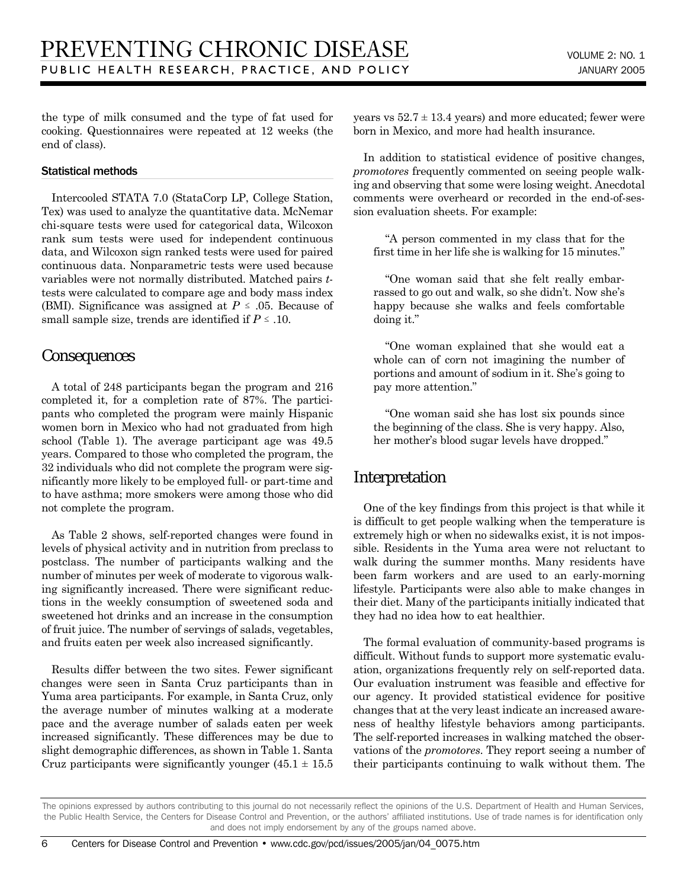the type of milk consumed and the type of fat used for cooking. Questionnaires were repeated at 12 weeks (the end of class).

#### Statistical methods

Intercooled STATA 7.0 (StataCorp LP, College Station, Tex) was used to analyze the quantitative data. McNemar chi-square tests were used for categorical data, Wilcoxon rank sum tests were used for independent continuous data, and Wilcoxon sign ranked tests were used for paired continuous data. Nonparametric tests were used because variables were not normally distributed. Matched pairs *t*tests were calculated to compare age and body mass index (BMI). Significance was assigned at  $P \leq .05$ . Because of small sample size, trends are identified if  $P \leq .10$ .

## **Consequences**

A total of 248 participants began the program and 216 completed it, for a completion rate of 87%. The participants who completed the program were mainly Hispanic women born in Mexico who had not graduated from high school (Table 1). The average participant age was 49.5 years. Compared to those who completed the program, the 32 individuals who did not complete the program were significantly more likely to be employed full- or part-time and to have asthma; more smokers were among those who did not complete the program.

As Table 2 shows, self-reported changes were found in levels of physical activity and in nutrition from preclass to postclass. The number of participants walking and the number of minutes per week of moderate to vigorous walking significantly increased. There were significant reductions in the weekly consumption of sweetened soda and sweetened hot drinks and an increase in the consumption of fruit juice. The number of servings of salads, vegetables, and fruits eaten per week also increased significantly.

Results differ between the two sites. Fewer significant changes were seen in Santa Cruz participants than in Yuma area participants. For example, in Santa Cruz, only the average number of minutes walking at a moderate pace and the average number of salads eaten per week increased significantly. These differences may be due to slight demographic differences, as shown in Table 1. Santa Cruz participants were significantly younger  $(45.1 \pm 15.5)$  years vs  $52.7 \pm 13.4$  years) and more educated; fewer were born in Mexico, and more had health insurance.

In addition to statistical evidence of positive changes, *promotores* frequently commented on seeing people walking and observing that some were losing weight. Anecdotal comments were overheard or recorded in the end-of-session evaluation sheets. For example:

"A person commented in my class that for the first time in her life she is walking for 15 minutes."

"One woman said that she felt really embarrassed to go out and walk, so she didn't. Now she's happy because she walks and feels comfortable doing it."

"One woman explained that she would eat a whole can of corn not imagining the number of portions and amount of sodium in it. She's going to pay more attention."

"One woman said she has lost six pounds since the beginning of the class. She is very happy. Also, her mother's blood sugar levels have dropped."

## Interpretation

One of the key findings from this project is that while it is difficult to get people walking when the temperature is extremely high or when no sidewalks exist, it is not impossible. Residents in the Yuma area were not reluctant to walk during the summer months. Many residents have been farm workers and are used to an early-morning lifestyle. Participants were also able to make changes in their diet. Many of the participants initially indicated that they had no idea how to eat healthier.

The formal evaluation of community-based programs is difficult. Without funds to support more systematic evaluation, organizations frequently rely on self-reported data. Our evaluation instrument was feasible and effective for our agency. It provided statistical evidence for positive changes that at the very least indicate an increased awareness of healthy lifestyle behaviors among participants. The self-reported increases in walking matched the observations of the *promotores*. They report seeing a number of their participants continuing to walk without them. The

The opinions expressed by authors contributing to this journal do not necessarily reflect the opinions of the U.S. Department of Health and Human Services, the Public Health Service, the Centers for Disease Control and Prevention, or the authors' affiliated institutions. Use of trade names is for identification only and does not imply endorsement by any of the groups named above.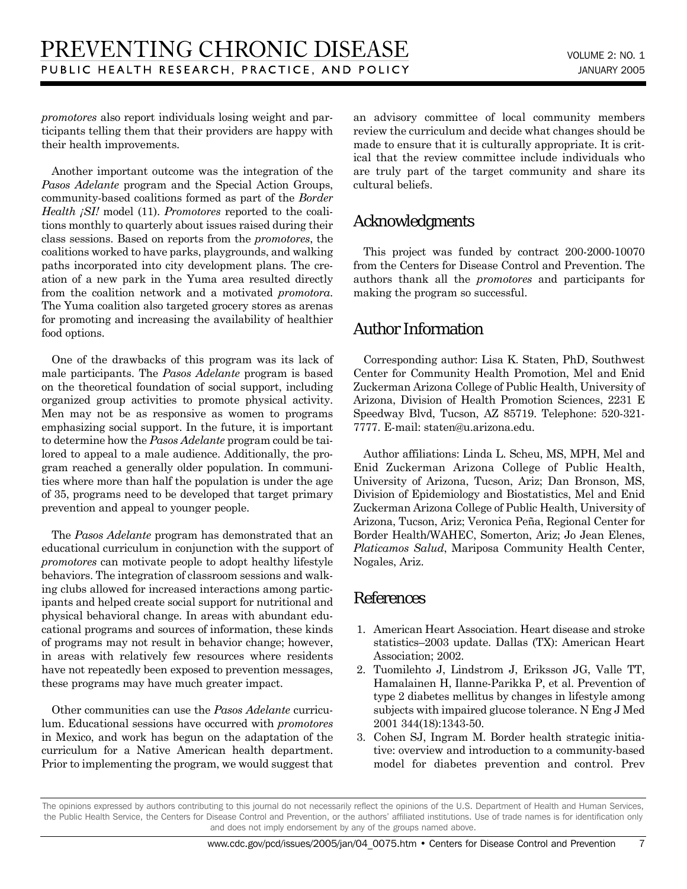*promotores* also report individuals losing weight and participants telling them that their providers are happy with their health improvements.

Another important outcome was the integration of the *Pasos Adelante* program and the Special Action Groups, community-based coalitions formed as part of the *Border Health ¡SI!* model (11). *Promotores* reported to the coalitions monthly to quarterly about issues raised during their class sessions. Based on reports from the *promotores*, the coalitions worked to have parks, playgrounds, and walking paths incorporated into city development plans. The creation of a new park in the Yuma area resulted directly from the coalition network and a motivated *promotora*. The Yuma coalition also targeted grocery stores as arenas for promoting and increasing the availability of healthier food options.

One of the drawbacks of this program was its lack of male participants. The *Pasos Adelante* program is based on the theoretical foundation of social support, including organized group activities to promote physical activity. Men may not be as responsive as women to programs emphasizing social support. In the future, it is important to determine how the *Pasos Adelante* program could be tailored to appeal to a male audience. Additionally, the program reached a generally older population. In communities where more than half the population is under the age of 35, programs need to be developed that target primary prevention and appeal to younger people.

The *Pasos Adelante* program has demonstrated that an educational curriculum in conjunction with the support of *promotores* can motivate people to adopt healthy lifestyle behaviors. The integration of classroom sessions and walking clubs allowed for increased interactions among participants and helped create social support for nutritional and physical behavioral change. In areas with abundant educational programs and sources of information, these kinds of programs may not result in behavior change; however, in areas with relatively few resources where residents have not repeatedly been exposed to prevention messages, these programs may have much greater impact.

Other communities can use the *Pasos Adelante* curriculum. Educational sessions have occurred with *promotores* in Mexico, and work has begun on the adaptation of the curriculum for a Native American health department. Prior to implementing the program, we would suggest that an advisory committee of local community members review the curriculum and decide what changes should be made to ensure that it is culturally appropriate. It is critical that the review committee include individuals who are truly part of the target community and share its cultural beliefs.

## Acknowledgments

This project was funded by contract 200-2000-10070 from the Centers for Disease Control and Prevention. The authors thank all the *promotores* and participants for making the program so successful.

## Author Information

Corresponding author: Lisa K. Staten, PhD, Southwest Center for Community Health Promotion, Mel and Enid Zuckerman Arizona College of Public Health, University of Arizona, Division of Health Promotion Sciences, 2231 E Speedway Blvd, Tucson, AZ 85719. Telephone: 520-321- 7777. E-mail: staten@u.arizona.edu.

Author affiliations: Linda L. Scheu, MS, MPH, Mel and Enid Zuckerman Arizona College of Public Health, University of Arizona, Tucson, Ariz; Dan Bronson, MS, Division of Epidemiology and Biostatistics, Mel and Enid Zuckerman Arizona College of Public Health, University of Arizona, Tucson, Ariz; Veronica Peña, Regional Center for Border Health/WAHEC, Somerton, Ariz; Jo Jean Elenes, *Platicamos Salud*, Mariposa Community Health Center, Nogales, Ariz.

## References

- 1. American Heart Association. Heart disease and stroke statistics–2003 update. Dallas (TX): American Heart Association; 2002.
- 2. Tuomilehto J, Lindstrom J, Eriksson JG, Valle TT, Hamalainen H, Ilanne-Parikka P, et al. Prevention of type 2 diabetes mellitus by changes in lifestyle among subjects with impaired glucose tolerance. N Eng J Med 2001 344(18):1343-50.
- 3. Cohen SJ, Ingram M. Border health strategic initiative: overview and introduction to a community-based model for diabetes prevention and control. Prev

The opinions expressed by authors contributing to this journal do not necessarily reflect the opinions of the U.S. Department of Health and Human Services, the Public Health Service, the Centers for Disease Control and Prevention, or the authors' affiliated institutions. Use of trade names is for identification only and does not imply endorsement by any of the groups named above.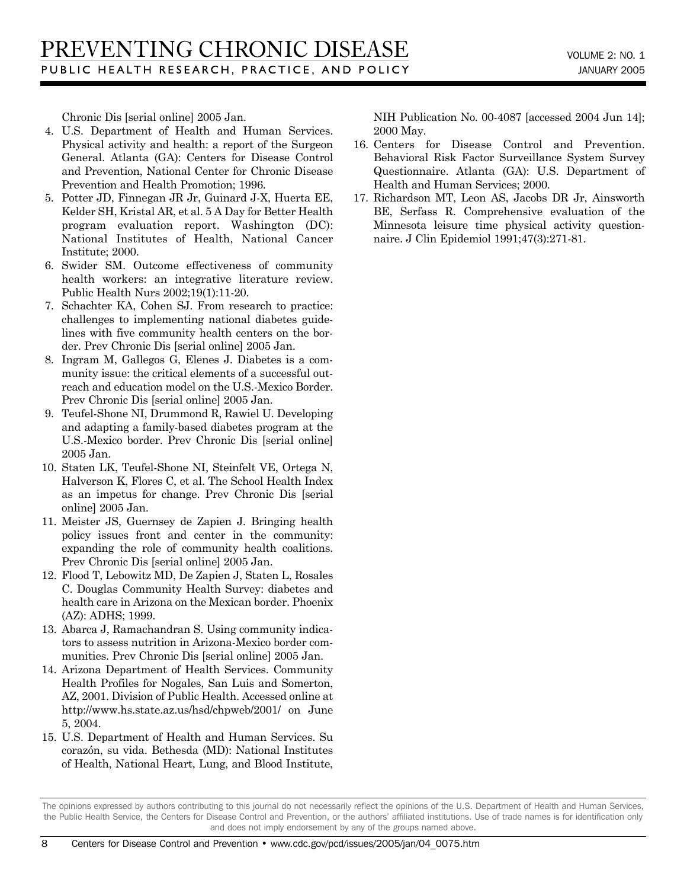Chronic Dis [serial online] 2005 Jan.

- 4. U.S. Department of Health and Human Services. Physical activity and health: a report of the Surgeon General. Atlanta (GA): Centers for Disease Control and Prevention, National Center for Chronic Disease Prevention and Health Promotion; 1996.
- 5. Potter JD, Finnegan JR Jr, Guinard J-X, Huerta EE, Kelder SH, Kristal AR, et al. 5 A Day for Better Health program evaluation report. Washington (DC): National Institutes of Health, National Cancer Institute; 2000.
- 6. Swider SM. Outcome effectiveness of community health workers: an integrative literature review. Public Health Nurs 2002;19(1):11-20.
- 7. Schachter KA, Cohen SJ. From research to practice: challenges to implementing national diabetes guidelines with five community health centers on the border. Prev Chronic Dis [serial online] 2005 Jan.
- 8. Ingram M, Gallegos G, Elenes J. Diabetes is a community issue: the critical elements of a successful outreach and education model on the U.S.-Mexico Border. Prev Chronic Dis [serial online] 2005 Jan.
- 9. Teufel-Shone NI, Drummond R, Rawiel U. Developing and adapting a family-based diabetes program at the U.S.-Mexico border. Prev Chronic Dis [serial online] 2005 Jan.
- 10. Staten LK, Teufel-Shone NI, Steinfelt VE, Ortega N, Halverson K, Flores C, et al. The School Health Index as an impetus for change. Prev Chronic Dis [serial online] 2005 Jan.
- 11. Meister JS, Guernsey de Zapien J. Bringing health policy issues front and center in the community: expanding the role of community health coalitions. Prev Chronic Dis [serial online] 2005 Jan.
- 12. Flood T, Lebowitz MD, De Zapien J, Staten L, Rosales C. Douglas Community Health Survey: diabetes and health care in Arizona on the Mexican border. Phoenix (AZ): ADHS; 1999.
- 13. Abarca J, Ramachandran S. Using community indicators to assess nutrition in Arizona-Mexico border communities. Prev Chronic Dis [serial online] 2005 Jan.
- 14. Arizona Department of Health Services. Community Health Profiles for Nogales, San Luis and Somerton, AZ, 2001. Division of Public Health. Accessed online at http://www.hs.state.az.us/hsd/chpweb/2001/ on June 5, 2004.
- 15. U.S. Department of Health and Human Services. Su corazón, su vida. Bethesda (MD): National Institutes of Health, National Heart, Lung, and Blood Institute,

NIH Publication No. 00-4087 [accessed 2004 Jun 14]; 2000 May.

- 16. Centers for Disease Control and Prevention. Behavioral Risk Factor Surveillance System Survey Questionnaire. Atlanta (GA): U.S. Department of Health and Human Services; 2000.
- 17. Richardson MT, Leon AS, Jacobs DR Jr, Ainsworth BE, Serfass R. Comprehensive evaluation of the Minnesota leisure time physical activity questionnaire. J Clin Epidemiol 1991;47(3):271-81.

The opinions expressed by authors contributing to this journal do not necessarily reflect the opinions of the U.S. Department of Health and Human Services, the Public Health Service, the Centers for Disease Control and Prevention, or the authors' affiliated institutions. Use of trade names is for identification only and does not imply endorsement by any of the groups named above.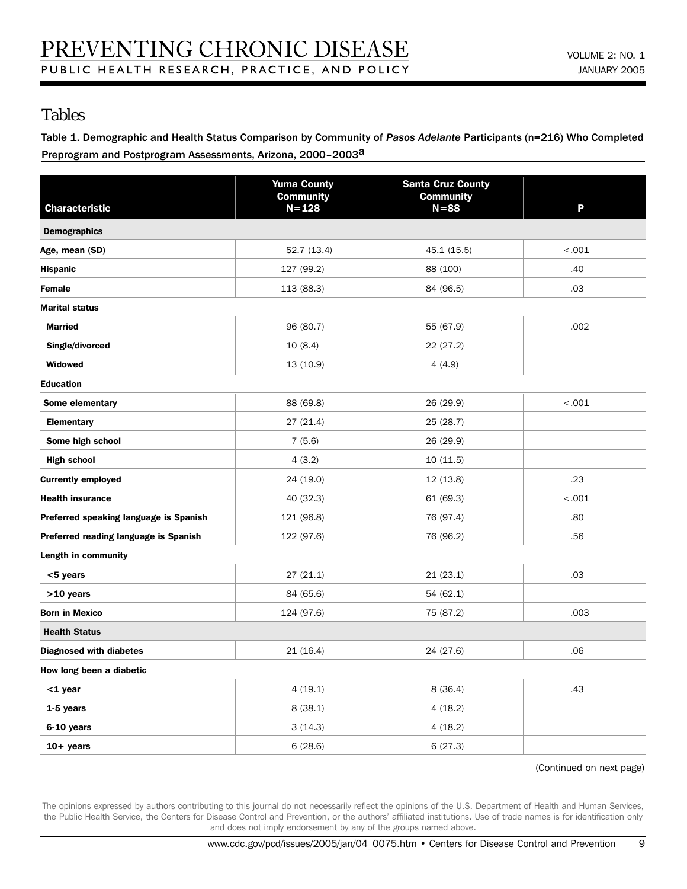## Tables

Table 1. Demographic and Health Status Comparison by Community of *Pasos Adelante* Participants (n=216) Who Completed Preprogram and Postprogram Assessments, Arizona, 2000-2003<sup>a</sup>

| <b>Characteristic</b>                  | <b>Yuma County</b><br><b>Community</b><br>$N = 128$ | <b>Santa Cruz County</b><br><b>Community</b><br>$N = 88$ | P       |
|----------------------------------------|-----------------------------------------------------|----------------------------------------------------------|---------|
| <b>Demographics</b>                    |                                                     |                                                          |         |
| Age, mean (SD)                         | 52.7 (13.4)                                         | 45.1 (15.5)                                              | $-.001$ |
| <b>Hispanic</b>                        | 127 (99.2)                                          | 88 (100)                                                 | .40     |
| Female                                 | 113 (88.3)                                          | 84 (96.5)                                                | .03     |
| <b>Marital status</b>                  |                                                     |                                                          |         |
| <b>Married</b>                         | 96 (80.7)                                           | 55 (67.9)                                                | .002    |
| Single/divorced                        | 10(8.4)                                             | 22 (27.2)                                                |         |
| Widowed                                | 13 (10.9)                                           | 4(4.9)                                                   |         |
| <b>Education</b>                       |                                                     |                                                          |         |
| Some elementary                        | 88 (69.8)                                           | 26 (29.9)                                                | $-.001$ |
| <b>Elementary</b>                      | 27 (21.4)                                           | 25 (28.7)                                                |         |
| Some high school                       | 7(5.6)                                              | 26 (29.9)                                                |         |
| <b>High school</b>                     | 4(3.2)                                              | 10 (11.5)                                                |         |
| <b>Currently employed</b>              | 24 (19.0)                                           | 12 (13.8)                                                | .23     |
| <b>Health insurance</b>                | 40 (32.3)                                           | 61 (69.3)                                                | $-.001$ |
| Preferred speaking language is Spanish | 121 (96.8)                                          | 76 (97.4)                                                | .80     |
| Preferred reading language is Spanish  | 122 (97.6)                                          | 76 (96.2)                                                | .56     |
| Length in community                    |                                                     |                                                          |         |
| $<$ 5 years                            | 27(21.1)                                            | 21(23.1)                                                 | .03     |
| $>10$ years                            | 84 (65.6)                                           | 54 (62.1)                                                |         |
| <b>Born in Mexico</b>                  | 124 (97.6)                                          | 75 (87.2)                                                | .003    |
| <b>Health Status</b>                   |                                                     |                                                          |         |
| <b>Diagnosed with diabetes</b>         | 21 (16.4)                                           | 24 (27.6)                                                | .06     |
| How long been a diabetic               |                                                     |                                                          |         |
| <1 year                                | 4(19.1)                                             | 8(36.4)                                                  | .43     |
| 1-5 years                              | 8(38.1)                                             | 4(18.2)                                                  |         |
| 6-10 years                             | 3(14.3)                                             | 4(18.2)                                                  |         |
| $10+$ years                            | 6(28.6)                                             | 6(27.3)                                                  |         |

(Continued on next page)

The opinions expressed by authors contributing to this journal do not necessarily reflect the opinions of the U.S. Department of Health and Human Services, the Public Health Service, the Centers for Disease Control and Prevention, or the authors' affiliated institutions. Use of trade names is for identification only and does not imply endorsement by any of the groups named above.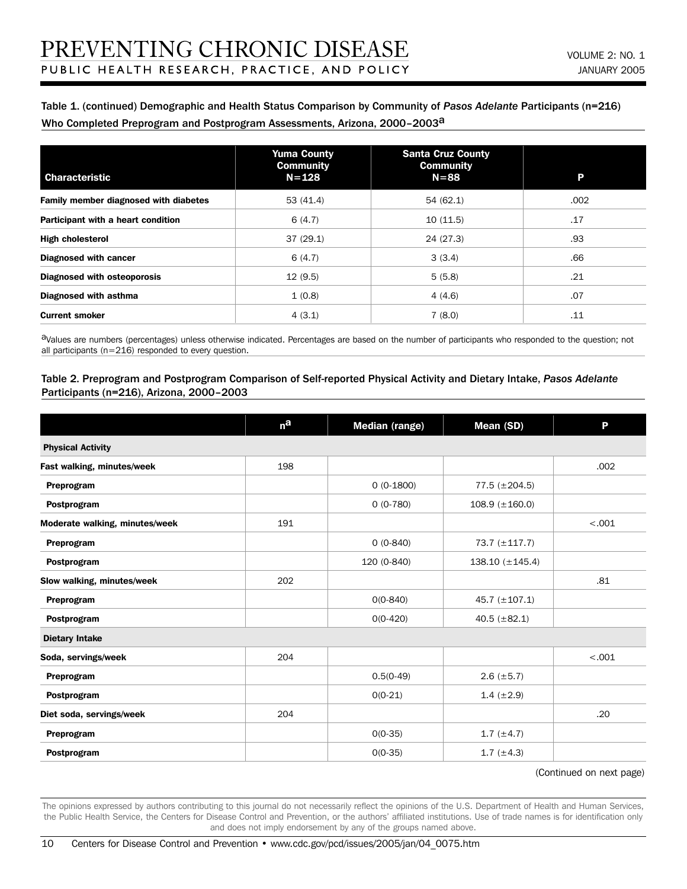#### Table 1. (continued) Demographic and Health Status Comparison by Community of *Pasos Adelante* Participants (n=216) Who Completed Preprogram and Postprogram Assessments, Arizona, 2000-2003<sup>a</sup>

| <b>Characteristic</b>                 | <b>Yuma County</b><br><b>Community</b><br>$N = 128$ | <b>Santa Cruz County</b><br><b>Community</b><br>$N = 88$ | P    |
|---------------------------------------|-----------------------------------------------------|----------------------------------------------------------|------|
| Family member diagnosed with diabetes | 53 (41.4)                                           | 54 (62.1)                                                | .002 |
| Participant with a heart condition    | 6(4.7)                                              | 10(11.5)                                                 | .17  |
| <b>High cholesterol</b>               | 37(29.1)                                            | 24 (27.3)                                                | .93  |
| <b>Diagnosed with cancer</b>          | 6(4.7)                                              | 3(3.4)                                                   | .66  |
| <b>Diagnosed with osteoporosis</b>    | 12(9.5)                                             | 5(5.8)                                                   | .21  |
| Diagnosed with asthma                 | 1(0.8)                                              | 4(4.6)                                                   | .07  |
| <b>Current smoker</b>                 | 4(3.1)                                              | 7(8.0)                                                   | .11  |

aValues are numbers (percentages) unless otherwise indicated. Percentages are based on the number of participants who responded to the question; not all participants (n=216) responded to every question.

#### Table 2. Preprogram and Postprogram Comparison of Self-reported Physical Activity and Dietary Intake, *Pasos Adelante* Participants (n=216), Arizona, 2000–2003

|                                | n <sup>a</sup> | <b>Median (range)</b> | Mean (SD)              | P      |  |  |
|--------------------------------|----------------|-----------------------|------------------------|--------|--|--|
| <b>Physical Activity</b>       |                |                       |                        |        |  |  |
| Fast walking, minutes/week     | 198            |                       |                        | .002   |  |  |
| Preprogram                     |                | $0(0-1800)$           | $77.5 (\pm 204.5)$     |        |  |  |
| Postprogram                    |                | $0(0-780)$            | $108.9~(\pm 160.0)$    |        |  |  |
| Moderate walking, minutes/week | 191            |                       |                        | < .001 |  |  |
| Preprogram                     |                | $0(0-840)$            | 73.7 (±117.7)          |        |  |  |
| Postprogram                    |                | 120 (0-840)           | $138.10 \ (\pm 145.4)$ |        |  |  |
| Slow walking, minutes/week     | 202            |                       |                        | .81    |  |  |
| Preprogram                     |                | $0(0-840)$            | 45.7 $(\pm 107.1)$     |        |  |  |
| Postprogram                    |                | $0(0-420)$            | 40.5 $(\pm 82.1)$      |        |  |  |
| <b>Dietary Intake</b>          |                |                       |                        |        |  |  |
| Soda, servings/week            | 204            |                       |                        | < .001 |  |  |
| Preprogram                     |                | $0.5(0-49)$           | $2.6 (\pm 5.7)$        |        |  |  |
| Postprogram                    |                | $0(0-21)$             | $1.4~(\pm 2.9)$        |        |  |  |
| Diet soda, servings/week       | 204            |                       |                        | .20    |  |  |
| Preprogram                     |                | $0(0-35)$             | 1.7 $(\pm 4.7)$        |        |  |  |
| Postprogram                    |                | $0(0-35)$             | 1.7 $(\pm 4.3)$        |        |  |  |

#### (Continued on next page)

The opinions expressed by authors contributing to this journal do not necessarily reflect the opinions of the U.S. Department of Health and Human Services, the Public Health Service, the Centers for Disease Control and Prevention, or the authors' affiliated institutions. Use of trade names is for identification only and does not imply endorsement by any of the groups named above.